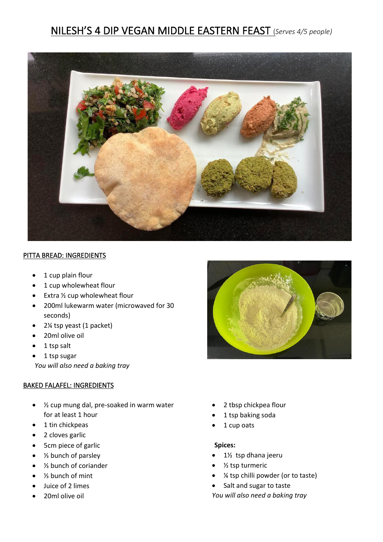# NILESH'S 4 DIP VEGAN MIDDLE EASTERN FEAST (*Serves 4/5 people)*



### PITTA BREAD: INGREDIENTS

- 1 cup plain flour
- 1 cup wholewheat flour
- Extra ½ cup wholewheat flour
- 200ml lukewarm water (microwaved for 30 seconds)
- 2¼ tsp yeast (1 packet)
- 20ml olive oil
- 1 tsp salt
- 1 tsp sugar

*You will also need a baking tray*

### BAKED FALAFEL: INGREDIENTS

- ½ cup mung dal, pre-soaked in warm water for at least 1 hour
- 1 tin chickpeas
- 2 cloves garlic
- 5cm piece of garlic
- ⅓ bunch of parsley
- ⅓ bunch of coriander
- $\frac{1}{3}$  bunch of mint
- Juice of 2 limes
- 20ml olive oil



- 2 tbsp chickpea flour
- 1 tsp baking soda
- 1 cup oats

### **Spices:**

- 1½ tsp dhana jeeru
- $\bullet$  % tsp turmeric
- ¼ tsp chilli powder (or to taste)
- Salt and sugar to taste
- *You will also need a baking tray*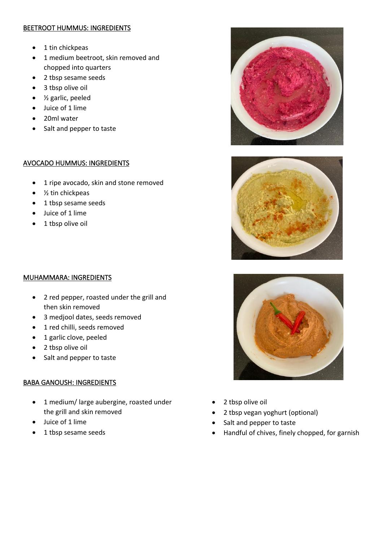## BEETROOT HUMMUS: INGREDIENTS

- 1 tin chickpeas
- 1 medium beetroot, skin removed and chopped into quarters
- 2 tbsp sesame seeds
- 3 tbsp olive oil
- ½ garlic, peeled
- Juice of 1 lime
- 20ml water
- Salt and pepper to taste

## AVOCADO HUMMUS: INGREDIENTS

- 1 ripe avocado, skin and stone removed
- $\bullet$  % tin chickpeas
- 1 tbsp sesame seeds
- Juice of 1 lime
- 1 tbsp olive oil







- MUHAMMARA: INGREDIENTS
	- 2 red pepper, roasted under the grill and then skin removed
	- 3 medjool dates, seeds removed
	- 1 red chilli, seeds removed
	- 1 garlic clove, peeled
	- 2 tbsp olive oil
	- Salt and pepper to taste

# BABA GANOUSH: INGREDIENTS

- 1 medium/ large aubergine, roasted under the grill and skin removed
- Juice of 1 lime
- 1 tbsp sesame seeds
- 2 tbsp olive oil
- 2 tbsp vegan yoghurt (optional)
- Salt and pepper to taste
- Handful of chives, finely chopped, for garnish